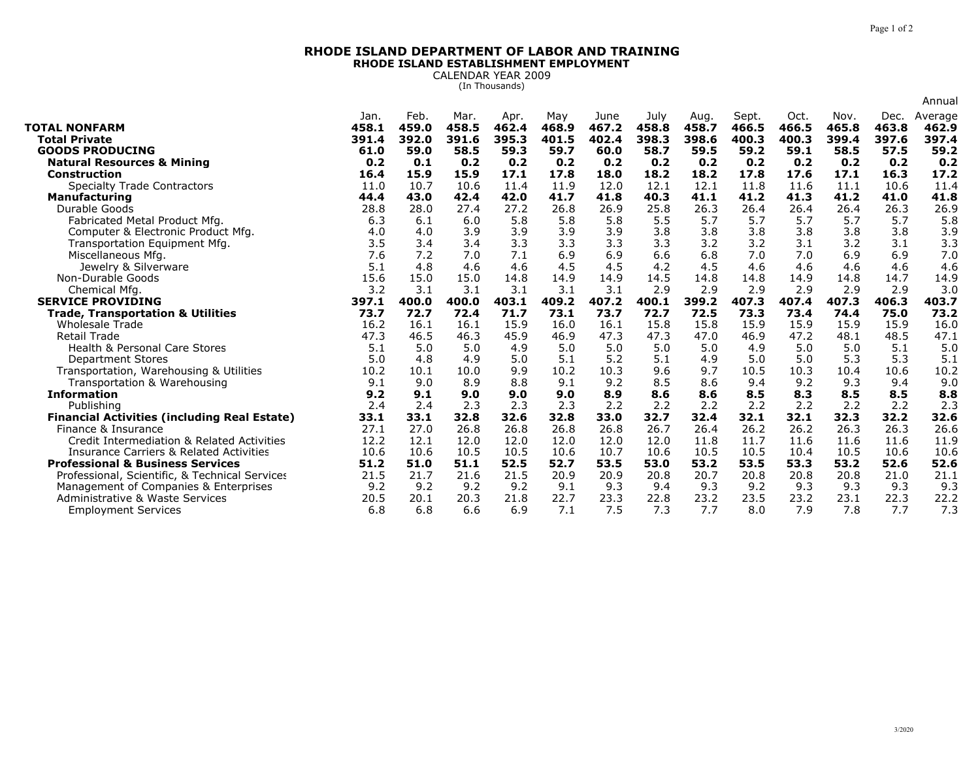## **RHODE ISLAND DEPARTMENT OF LABOR AND TRAININGRHODE ISLAND ESTABLISHMENT EMPLOYMENT**

CALENDAR YEAR 2009 (In Thousands)

|                                                               |             |             |             |             |             |             |             |             |             |             |             |             | Annual      |
|---------------------------------------------------------------|-------------|-------------|-------------|-------------|-------------|-------------|-------------|-------------|-------------|-------------|-------------|-------------|-------------|
|                                                               | Jan.        | Feb.        | Mar.        | Apr.        | May         | June        | July        | Aug.        | Sept.       | Oct.        | Nov.        | Dec.        | Average     |
| <b>TOTAL NONFARM</b>                                          | 458.1       | 459.0       | 458.5       | 462.4       | 468.9       | 467.2       | 458.8       | 458.7       | 466.5       | 466.5       | 465.8       | 463.8       | 462.9       |
| Total Private                                                 | 391.4       | 392.0       | 391.6       | 395.3       | 401.5       | 402.4       | 398.3       | 398.6       | 400.3       | 400.3       | 399.4       | 397.6       | 397.4       |
| <b>GOODS PRODUCING</b>                                        | 61.0        | 59.0        | 58.5        | 59.3        | 59.7        | 60.0        | 58.7        | 59.5        | 59.2        | 59.1        | 58.5        | 57.5        | 59.2        |
| <b>Natural Resources &amp; Mining</b>                         | 0.2         | 0.1         | 0.2         | 0.2         | 0.2         | 0.2         | 0.2         | 0.2         | 0.2         | 0.2         | 0.2         | 0.2         | 0.2         |
| <b>Construction</b>                                           | 16.4        | 15.9        | 15.9        | 17.1        | 17.8        | 18.0        | 18.2        | 18.2        | 17.8        | 17.6        | 17.1        | 16.3        | 17.2        |
| <b>Specialty Trade Contractors</b>                            | 11.0        | 10.7        | 10.6        | 11.4        | 11.9        | 12.0        | 12.1        | 12.1        | 11.8        | 11.6        | 11.1        | 10.6        | 11.4        |
| <b>Manufacturing</b>                                          | 44.4        | 43.0        | 42.4        | 42.0        | 41.7        | 41.8        | 40.3        | 41.1        | 41.2        | 41.3        | 41.2        | 41.0        | 41.8        |
| Durable Goods                                                 | 28.8        | 28.0        | 27.4        | 27.2        | 26.8        | 26.9        | 25.8        | 26.3        | 26.4        | 26.4        | 26.4        | 26.3        | 26.9        |
| Fabricated Metal Product Mfg.                                 | 6.3         | 6.1         | 6.0         | 5.8         | 5.8         | 5.8         | 5.5         | 5.7         | 5.7         | 5.7         | 5.7         | 5.7         | 5.8         |
| Computer & Electronic Product Mfg.                            | 4.0         | 4.0         | 3.9         | 3.9         | 3.9         | 3.9         | 3.8         | 3.8         | 3.8         | 3.8         | 3.8         | 3.8         | 3.9         |
| Transportation Equipment Mfg.                                 | 3.5         | 3.4         | 3.4         | 3.3         | 3.3         | 3.3         | 3.3         | 3.2         | 3.2         | 3.1         | 3.2         | 3.1         | 3.3         |
| Miscellaneous Mfg.                                            | 7.6         | 7.2         | 7.0         | 7.1         | 6.9         | 6.9         | 6.6         | 6.8         | 7.0         | 7.0         | 6.9         | 6.9         | 7.0         |
| Jewelry & Silverware                                          | 5.1         | 4.8         | 4.6         | 4.6         | 4.5         | 4.5         | 4.2         | 4.5         | 4.6         | 4.6         | 4.6         | 4.6         | 4.6         |
| Non-Durable Goods                                             | 15.6        | 15.0        | 15.0        | 14.8        | 14.9        | 14.9        | 14.5        | 14.8        | 14.8        | 14.9        | 14.8        | 14.7        | 14.9        |
| Chemical Mfg.                                                 | 3.2         | 3.1         | 3.1         | 3.1         | 3.1         | 3.1         | 2.9         | 2.9         | 2.9         | 2.9         | 2.9         | 2.9         | 3.0         |
| <b>SERVICE PROVIDING</b>                                      | 397.1       | 400.0       | 400.0       | 403.1       | 409.2       | 407.2       | 400.1       | 399.2       | 407.3       | 407.4       | 407.3       | 406.3       | 403.7       |
| <b>Trade, Transportation &amp; Utilities</b>                  | 73.7        | 72.7        | 72.4        | 71.7        | 73.1        | 73.7        | 72.7        | 72.5        | 73.3        | 73.4        | 74.4        | 75.0        | 73.2        |
| <b>Wholesale Trade</b>                                        | 16.2        | 16.1        | 16.1        | 15.9        | 16.0        | 16.1        | 15.8        | 15.8        | 15.9        | 15.9        | 15.9        | 15.9        | 16.0        |
| <b>Retail Trade</b>                                           | 47.3        | 46.5        | 46.3        | 45.9        | 46.9        | 47.3        | 47.3        | 47.0        | 46.9        | 47.2        | 48.1        | 48.5        | 47.1        |
| <b>Health &amp; Personal Care Stores</b>                      | 5.1         | 5.0         | 5.0         | 4.9         | 5.0         | 5.0         | 5.0         | 5.0         | 4.9         | 5.0         | 5.0         | 5.1         | 5.0         |
| <b>Department Stores</b>                                      | 5.0         | 4.8         | 4.9         | 5.0         | 5.1         | 5.2         | 5.1         | 4.9         | 5.0         | 5.0         | 5.3         | 5.3         | 5.1         |
| Transportation, Warehousing & Utilities                       | 10.2        | 10.1        | 10.0        | 9.9         | 10.2        | 10.3        | 9.6         | 9.7         | 10.5        | 10.3        | 10.4        | 10.6        | 10.2        |
| Transportation & Warehousing                                  | 9.1         | 9.0         | 8.9         | 8.8         | 9.1         | 9.2         | 8.5         | 8.6         | 9.4         | 9.2         | 9.3         | 9.4         | 9.0         |
| <b>Information</b>                                            | 9.2         | 9.1         | 9.0         | 9.0         | 9.0         | 8.9         | 8.6         | 8.6         | 8.5         | 8.3         | 8.5         | 8.5         | 8.8         |
|                                                               |             |             |             |             |             |             |             |             |             |             |             |             | 2.3         |
| Publishing                                                    | 2.4         | 2.4         | 2.3         | 2.3         | 2.3         | 2.2         | 2.2         | 2.2         | 2.2         | 2.2         | 2.2         | 2.2         |             |
| <b>Financial Activities (including Real Estate)</b>           | 33.1        | 33.1        | 32.8        | 32.6        | 32.8        | 33.0        | 32.7        | 32.4        | 32.1        | 32.1        | 32.3        | 32.2        | 32.6        |
| Finance & Insurance                                           | 27.1        | 27.0        | 26.8        | 26.8        | 26.8        | 26.8        | 26.7        | 26.4        | 26.2        | 26.2        | 26.3        | 26.3        | 26.6        |
| Credit Intermediation & Related Activities                    | 12.2        | 12.1        | 12.0        | 12.0        | 12.0        | 12.0        | 12.0        | 11.8        | 11.7        | 11.6        | 11.6        | 11.6        | 11.9        |
| <b>Insurance Carriers &amp; Related Activities</b>            | 10.6        | 10.6        | 10.5        | 10.5        | 10.6        | 10.7        | 10.6        | 10.5        | 10.5        | 10.4        | 10.5        | 10.6        | 10.6        |
| <b>Professional &amp; Business Services</b>                   | 51.2        | 51.0        | 51.1        | 52.5        | 52.7        | 53.5        | 53.0        | 53.2        | 53.5        | 53.3        | 53.2        | 52.6        | 52.6        |
| Professional, Scientific, & Technical Services                | 21.5        | 21.7        | 21.6        | 21.5        | 20.9        | 20.9        | 20.8        | 20.7        | 20.8        | 20.8        | 20.8        | 21.0        | 21.1        |
| Management of Companies & Enterprises                         | 9.2         | 9.2         | 9.2         | 9.2         | 9.1         | 9.3         | 9.4         | 9.3         | 9.2         | 9.3         | 9.3         | 9.3         | 9.3         |
| Administrative & Waste Services<br><b>Employment Services</b> | 20.5<br>6.8 | 20.1<br>6.8 | 20.3<br>6.6 | 21.8<br>6.9 | 22.7<br>7.1 | 23.3<br>7.5 | 22.8<br>7.3 | 23.2<br>7.7 | 23.5<br>8.0 | 23.2<br>7.9 | 23.1<br>7.8 | 22.3<br>7.7 | 22.2<br>7.3 |